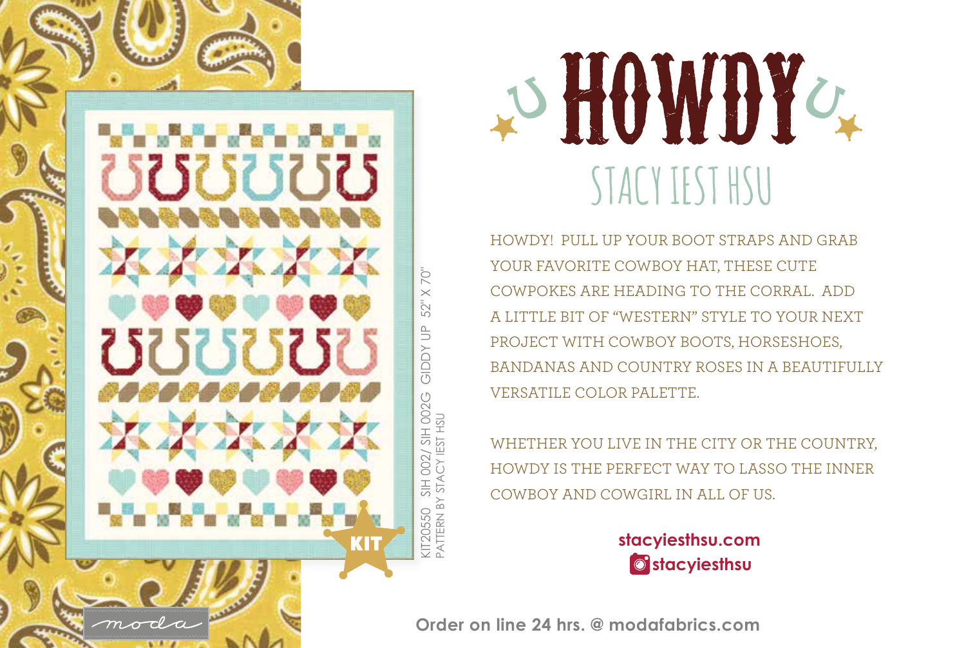

D HOWDY STACY IEST HSU

HOWDY! PULL UP YOUR BOOT STRAPS AND GRAB YOUR FAVORITE COWBOY HAT, THESE CUTE COWPOKES ARE HEADING TO THE CORRAL. ADD A LITTLE BIT OF "WESTERN" STYLE TO YOUR NEXT PROJECT WITH COWBOY BOOTS, HORSESHOES, BANDANAS AND COUNTRY ROSES IN A BEAUTIFULLY VERSATILE COLOR PALETTE.

WHETHER YOU LIVE IN THE CITY OR THE COUNTRY, HOWDY IS THE PERFECT WAY TO LASSO THE INNER COWBOY AND COWGIRL IN ALL OF US.

> **stacyiesthsu.com stacyiesthsu**

**Order on line 24 hrs. @ modafabrics.com**

KIT20550 SIH 002/ SIH 002G GIDDY UP 52" X 70"

002G

 $002/$ STAC<sup>)</sup> SIH

**GIDDY UP** 

70  $\times$ 52"

PATTERN BY STACY IEST HSU

**PATTERN BY IT20550** 

Y IEST HSL  $\overline{\mathbb S}$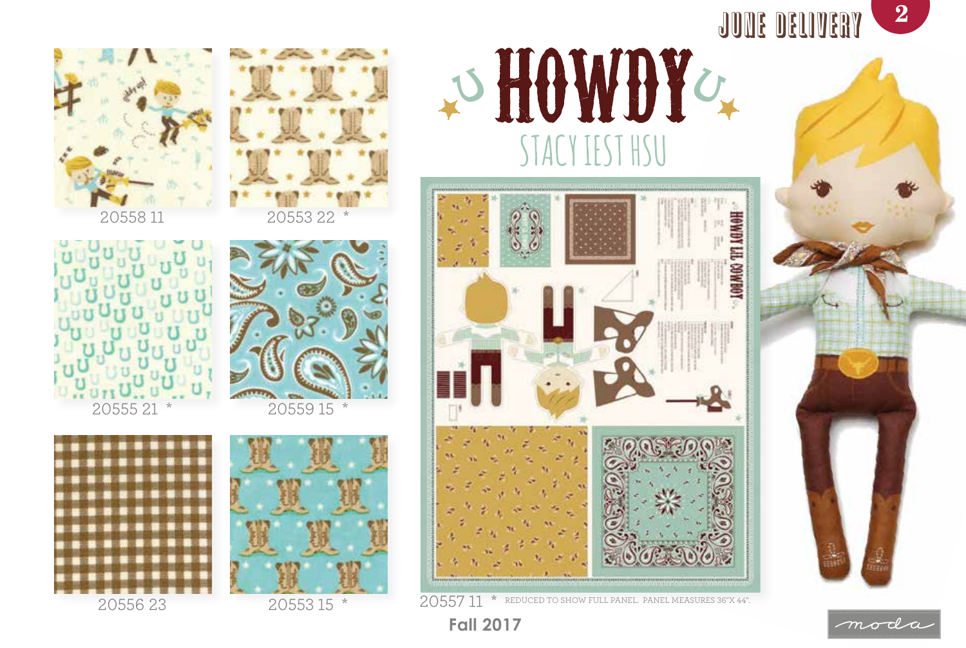

moda















20553 15 \*

**Fall 2017**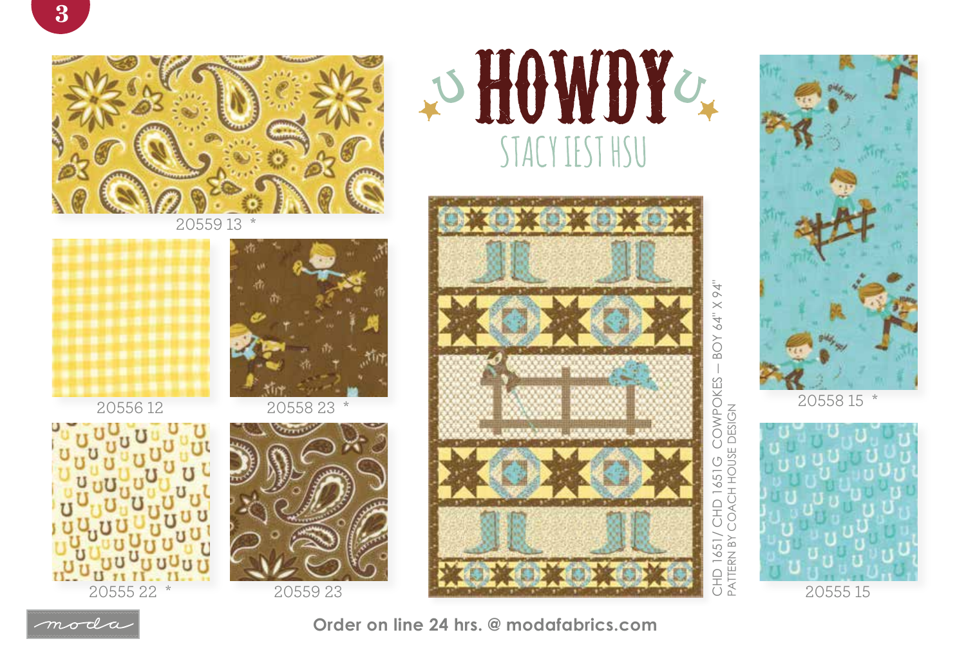

20559 13 \*



20556 12









― BOY 64" X 94" COWPOKES<br>OACH HOUSE DESIGN CHD 1651/ CHD 1651G COWPOKES PATTERN BY COACH HOUSE DESIGN



20558 15 \*





**Order on line 24 hrs. @ modafabrics.com**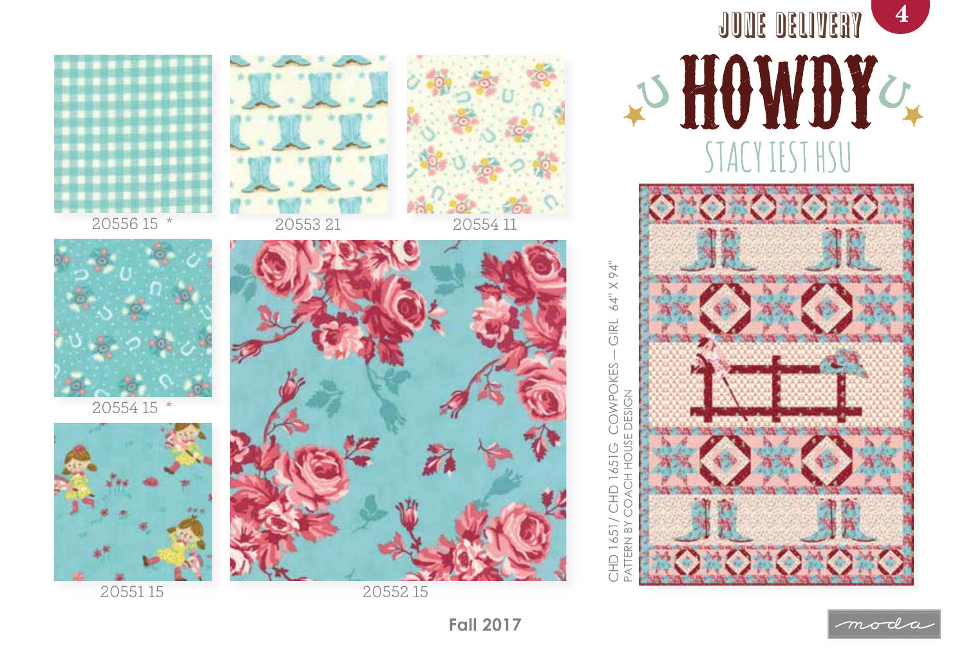

20551 15

20552 15







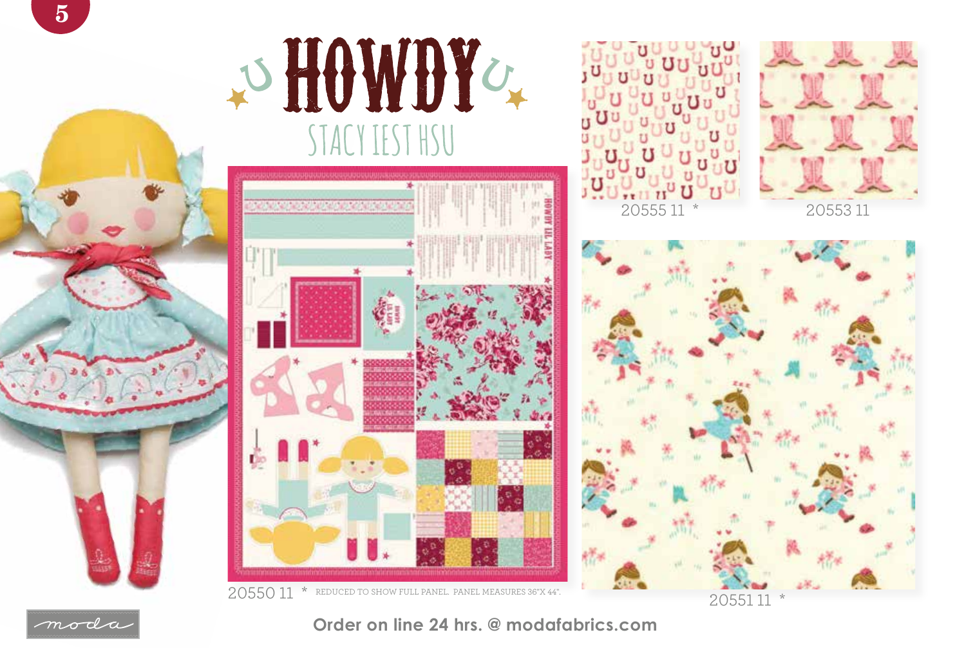

## O HOWDY STACY IEST HSU









20551 11 \*



## **Order on line 24 hrs. @ modafabrics.com**